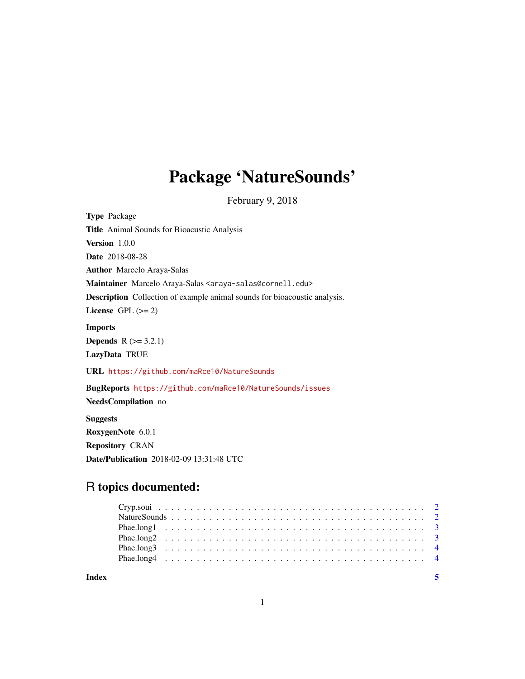# Package 'NatureSounds'

February 9, 2018

| <b>Type Package</b>                                                                |
|------------------------------------------------------------------------------------|
| <b>Title</b> Animal Sounds for Bioacustic Analysis                                 |
| Version 1.0.0                                                                      |
| <b>Date</b> 2018-08-28                                                             |
| <b>Author</b> Marcelo Araya-Salas                                                  |
| Maintainer Marcelo Araya-Salas <araya-salas@cornell.edu></araya-salas@cornell.edu> |
| <b>Description</b> Collection of example animal sounds for bioacoustic analysis.   |
| License GPL $(>= 2)$                                                               |
| <b>Imports</b>                                                                     |
| <b>Depends</b> $R (= 3.2.1)$                                                       |
| LazyData TRUE                                                                      |
| URL https://github.com/maRce10/NatureSounds                                        |
| BugReports https://github.com/maRce10/NatureSounds/issues                          |
| NeedsCompilation no                                                                |
| <b>Suggests</b>                                                                    |
| RoxygenNote 6.0.1                                                                  |
| <b>Repository CRAN</b>                                                             |
| <b>Date/Publication</b> 2018-02-09 13:31:48 UTC                                    |

# R topics documented:

| Index |  |  |  |  |  |  |  |  |  |  |  |  |  |  |  |  |  |  |
|-------|--|--|--|--|--|--|--|--|--|--|--|--|--|--|--|--|--|--|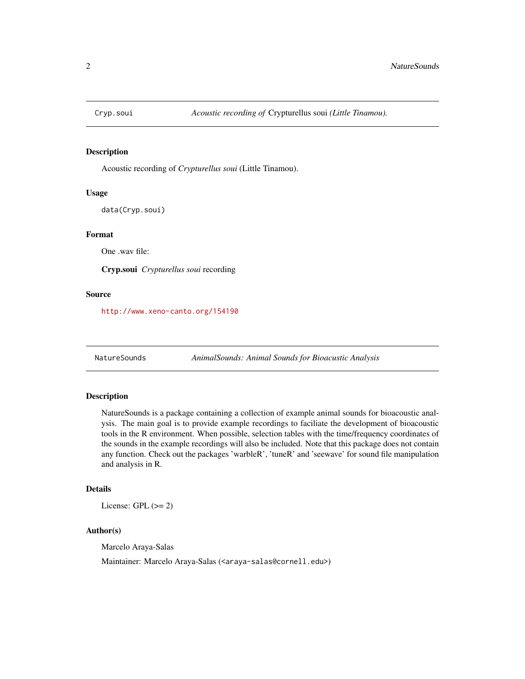<span id="page-1-0"></span>

#### Description

Acoustic recording of *Crypturellus soui* (Little Tinamou).

#### Usage

data(Cryp.soui)

#### Format

One .wav file:

Cryp.soui *Crypturellus soui* recording

#### Source

<http://www.xeno-canto.org/154190>

NatureSounds *AnimalSounds: Animal Sounds for Bioacustic Analysis*

### Description

NatureSounds is a package containing a collection of example animal sounds for bioacoustic analysis. The main goal is to provide example recordings to faciliate the development of bioacoustic tools in the R environment. When possible, selection tables with the time/frequency coordinates of the sounds in the example recordings will also be included. Note that this package does not contain any function. Check out the packages 'warbleR', 'tuneR' and 'seewave' for sound file manipulation and analysis in R.

#### Details

License: GPL  $(>= 2)$ 

#### Author(s)

Marcelo Araya-Salas

Maintainer: Marcelo Araya-Salas (<araya-salas@cornell.edu>)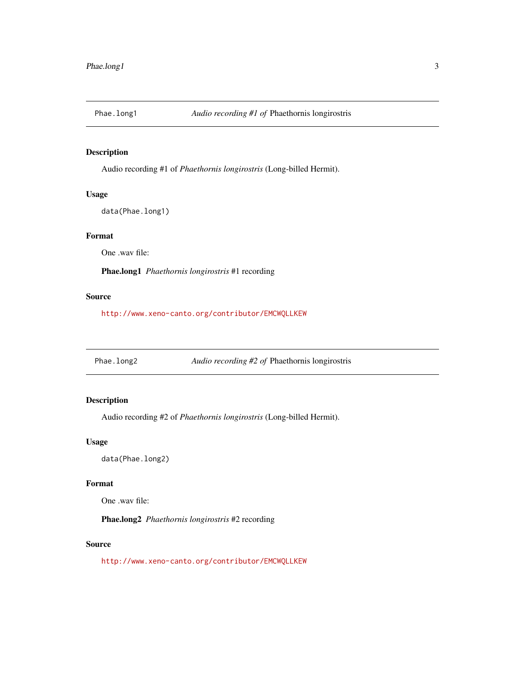<span id="page-2-0"></span>

#### Description

Audio recording #1 of *Phaethornis longirostris* (Long-billed Hermit).

#### Usage

data(Phae.long1)

# Format

One .wav file:

Phae.long1 *Phaethornis longirostris* #1 recording

#### Source

<http://www.xeno-canto.org/contributor/EMCWQLLKEW>

Phae.long2 *Audio recording #2 of* Phaethornis longirostris

### Description

Audio recording #2 of *Phaethornis longirostris* (Long-billed Hermit).

#### Usage

data(Phae.long2)

#### Format

One .wav file:

Phae.long2 *Phaethornis longirostris* #2 recording

#### Source

<http://www.xeno-canto.org/contributor/EMCWQLLKEW>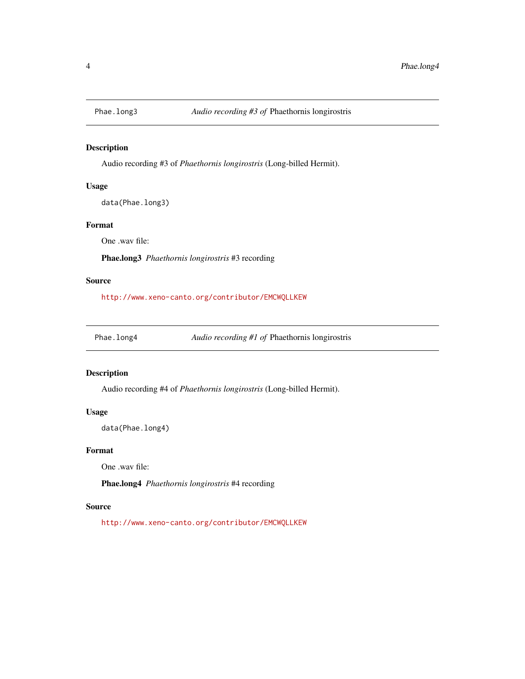<span id="page-3-0"></span>

#### Description

Audio recording #3 of *Phaethornis longirostris* (Long-billed Hermit).

#### Usage

data(Phae.long3)

#### Format

One .wav file:

Phae.long3 *Phaethornis longirostris* #3 recording

#### Source

<http://www.xeno-canto.org/contributor/EMCWQLLKEW>

Phae.long4 *Audio recording #1 of* Phaethornis longirostris

#### Description

Audio recording #4 of *Phaethornis longirostris* (Long-billed Hermit).

#### Usage

data(Phae.long4)

#### Format

One .wav file:

Phae.long4 *Phaethornis longirostris* #4 recording

#### Source

<http://www.xeno-canto.org/contributor/EMCWQLLKEW>